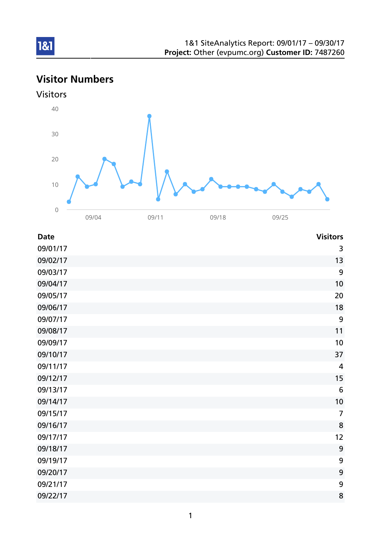# Visitor Numbers





| <b>Date</b> | <b>Visitors</b> |
|-------------|-----------------|
| 09/01/17    | 3               |
| 09/02/17    | 13              |
| 09/03/17    | 9               |
| 09/04/17    | 10              |
| 09/05/17    | 20              |
| 09/06/17    | 18              |
| 09/07/17    | 9               |
| 09/08/17    | 11              |
| 09/09/17    | 10              |
| 09/10/17    | 37              |
| 09/11/17    | $\overline{4}$  |
| 09/12/17    | 15              |
| 09/13/17    | $6\phantom{1}6$ |
| 09/14/17    | 10              |
| 09/15/17    | $\overline{7}$  |
| 09/16/17    | 8               |
| 09/17/17    | 12              |
| 09/18/17    | 9               |
| 09/19/17    | 9               |
| 09/20/17    | 9               |
| 09/21/17    | 9               |
| 09/22/17    | 8               |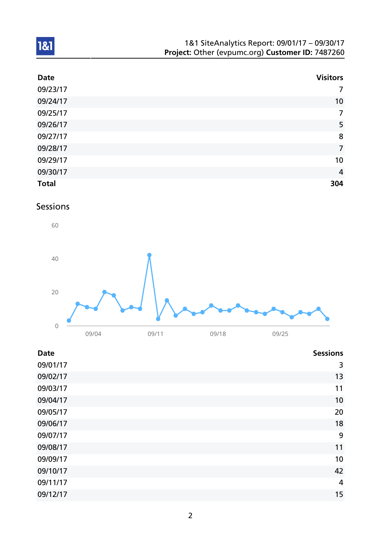| 1&1 SiteAnalytics Report: 09/01/17 - 09/30/17    |  |
|--------------------------------------------------|--|
| Project: Other (evpumc.org) Customer ID: 7487260 |  |

| <b>Date</b>  | <b>Visitors</b> |
|--------------|-----------------|
| 09/23/17     | $\overline{7}$  |
| 09/24/17     | 10              |
| 09/25/17     | $\overline{7}$  |
| 09/26/17     | 5               |
| 09/27/17     | 8               |
| 09/28/17     | $\overline{7}$  |
| 09/29/17     | 10              |
| 09/30/17     | $\overline{4}$  |
| <b>Total</b> | 304             |

## Sessions



| <b>Date</b> | <b>Sessions</b> |
|-------------|-----------------|
| 09/01/17    | 3               |
| 09/02/17    | 13              |
| 09/03/17    | 11              |
| 09/04/17    | 10              |
| 09/05/17    | 20              |
| 09/06/17    | 18              |
| 09/07/17    | 9               |
| 09/08/17    | 11              |
| 09/09/17    | 10              |
| 09/10/17    | 42              |
| 09/11/17    | $\overline{4}$  |
| 09/12/17    | 15              |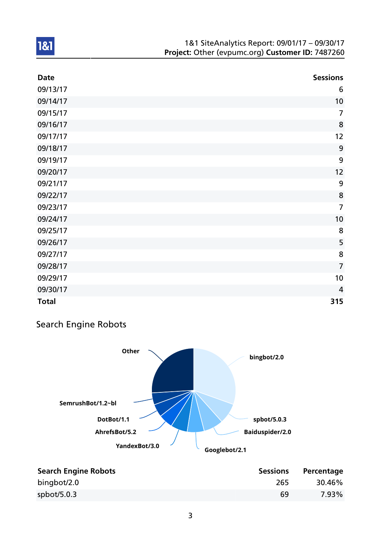| <b>Date</b>  | <b>Sessions</b> |
|--------------|-----------------|
| 09/13/17     | 6               |
| 09/14/17     | 10              |
| 09/15/17     | $\overline{7}$  |
| 09/16/17     | 8               |
| 09/17/17     | 12              |
| 09/18/17     | 9               |
| 09/19/17     | 9               |
| 09/20/17     | 12              |
| 09/21/17     | 9               |
| 09/22/17     | 8               |
| 09/23/17     | $\overline{7}$  |
| 09/24/17     | 10              |
| 09/25/17     | 8               |
| 09/26/17     | 5               |
| 09/27/17     | 8               |
| 09/28/17     | $\overline{7}$  |
| 09/29/17     | 10              |
| 09/30/17     | $\overline{4}$  |
| <b>Total</b> | 315             |

## Search Engine Robots



| <b>Search Engine Robots</b> | <b>Sessions</b> | Percentage |
|-----------------------------|-----------------|------------|
| bingbot/2.0                 | 265             | 30.46%     |
| spbot/5.0.3                 | 69              | 7.93%      |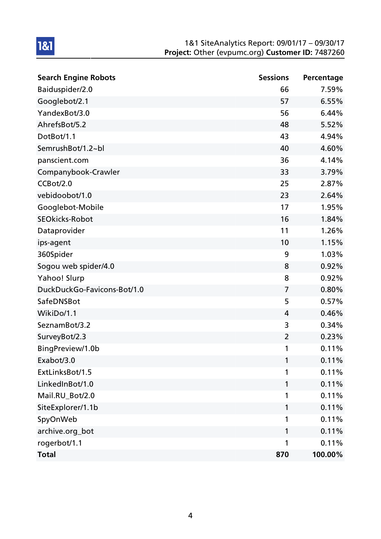| <b>Search Engine Robots</b> | <b>Sessions</b> | Percentage |
|-----------------------------|-----------------|------------|
| Baiduspider/2.0             | 66              | 7.59%      |
| Googlebot/2.1               | 57              | 6.55%      |
| YandexBot/3.0               | 56              | 6.44%      |
| AhrefsBot/5.2               | 48              | 5.52%      |
| DotBot/1.1                  | 43              | 4.94%      |
| SemrushBot/1.2~bl           | 40              | 4.60%      |
| panscient.com               | 36              | 4.14%      |
| Companybook-Crawler         | 33              | 3.79%      |
| CCBot/2.0                   | 25              | 2.87%      |
| vebidoobot/1.0              | 23              | 2.64%      |
| Googlebot-Mobile            | 17              | 1.95%      |
| <b>SEOkicks-Robot</b>       | 16              | 1.84%      |
| Dataprovider                | 11              | 1.26%      |
| ips-agent                   | 10              | 1.15%      |
| 360Spider                   | 9               | 1.03%      |
| Sogou web spider/4.0        | 8               | 0.92%      |
| Yahoo! Slurp                | 8               | 0.92%      |
| DuckDuckGo-Favicons-Bot/1.0 | $\overline{7}$  | 0.80%      |
| SafeDNSBot                  | 5               | 0.57%      |
| WikiDo/1.1                  | 4               | 0.46%      |
| SeznamBot/3.2               | 3               | 0.34%      |
| SurveyBot/2.3               | $\overline{2}$  | 0.23%      |
| BingPreview/1.0b            | 1               | 0.11%      |
| Exabot/3.0                  | 1               | 0.11%      |
| ExtLinksBot/1.5             | 1               | 0.11%      |
| LinkedInBot/1.0             | 1               | 0.11%      |
| Mail.RU_Bot/2.0             | 1               | 0.11%      |
| SiteExplorer/1.1b           | 1               | 0.11%      |
| SpyOnWeb                    | 1               | 0.11%      |
| archive.org_bot             | 1               | 0.11%      |
| rogerbot/1.1                | 1               | 0.11%      |
| <b>Total</b>                | 870             | 100.00%    |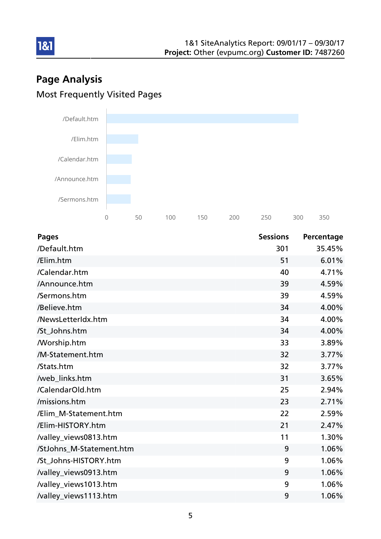## Page Analysis Most Frequently Visited Pages

181



| <b>Pages</b>             | <b>Sessions</b> | Percentage |
|--------------------------|-----------------|------------|
| /Default.htm             | 301             | 35.45%     |
| /Elim.htm                | 51              | 6.01%      |
| /Calendar.htm            | 40              | 4.71%      |
| /Announce.htm            | 39              | 4.59%      |
| /Sermons.htm             | 39              | 4.59%      |
| /Believe.htm             | 34              | 4.00%      |
| /NewsLetterIdx.htm       | 34              | 4.00%      |
| /St_Johns.htm            | 34              | 4.00%      |
| <b>Morship.htm</b>       | 33              | 3.89%      |
| /M-Statement.htm         | 32              | 3.77%      |
| /Stats.htm               | 32              | 3.77%      |
| /web_links.htm           | 31              | 3.65%      |
| /CalendarOld.htm         | 25              | 2.94%      |
| /missions.htm            | 23              | 2.71%      |
| /Elim_M-Statement.htm    | 22              | 2.59%      |
| /Elim-HISTORY.htm        | 21              | 2.47%      |
| /valley_views0813.htm    | 11              | 1.30%      |
| /StJohns_M-Statement.htm | 9               | 1.06%      |
| /St_Johns-HISTORY.htm    | 9               | 1.06%      |
| /valley_views0913.htm    | 9               | 1.06%      |
| /valley_views1013.htm    | 9               | 1.06%      |
| /valley_views1113.htm    | 9               | 1.06%      |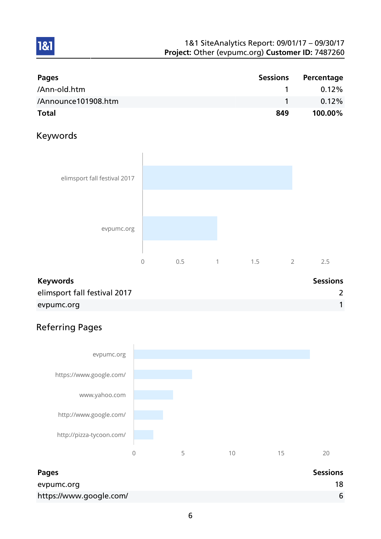| <b>Pages</b>        | <b>Sessions</b> | Percentage |
|---------------------|-----------------|------------|
| /Ann-old.htm        |                 | $0.12\%$   |
| /Announce101908.htm |                 | $0.12\%$   |
| <b>Total</b>        | 849             | 100.00%    |

## Keywords

1&1



## Keywords **Sessions** elimsport fall festival 2017 2 evpumc.org in the contract of the contract of the contract of the contract of the contract of the contract of the contract of the contract of the contract of the contract of the contract of the contract of the contract of

## Referring Pages



| Pages                   | <b>Sessions</b> |
|-------------------------|-----------------|
| evpumc.org              | 18              |
| https://www.google.com/ | 6               |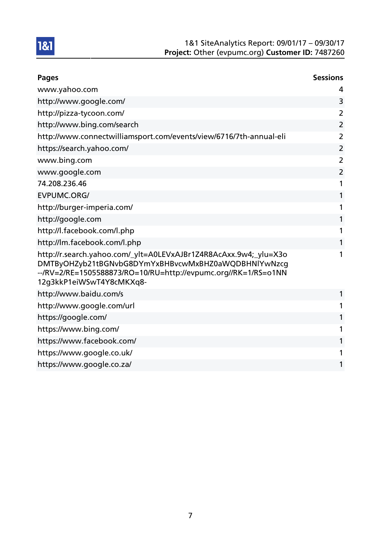

| <b>Pages</b>                                                                                                                                                                                                          | <b>Sessions</b> |
|-----------------------------------------------------------------------------------------------------------------------------------------------------------------------------------------------------------------------|-----------------|
| www.yahoo.com                                                                                                                                                                                                         | 4               |
| http://www.google.com/                                                                                                                                                                                                | 3               |
| http://pizza-tycoon.com/                                                                                                                                                                                              | 2               |
| http://www.bing.com/search                                                                                                                                                                                            | $\overline{2}$  |
| http://www.connectwilliamsport.com/events/view/6716/7th-annual-eli                                                                                                                                                    | $\overline{2}$  |
| https://search.yahoo.com/                                                                                                                                                                                             | $\overline{2}$  |
| www.bing.com                                                                                                                                                                                                          | $\overline{2}$  |
| www.google.com                                                                                                                                                                                                        | $\overline{2}$  |
| 74.208.236.46                                                                                                                                                                                                         | 1               |
| <b>EVPUMC.ORG/</b>                                                                                                                                                                                                    | 1               |
| http://burger-imperia.com/                                                                                                                                                                                            | 1               |
| http://google.com                                                                                                                                                                                                     | 1               |
| http://l.facebook.com/l.php                                                                                                                                                                                           | 1               |
| http://lm.facebook.com/l.php                                                                                                                                                                                          | 1               |
| http://r.search.yahoo.com/_ylt=A0LEVxAJBr1Z4R8AcAxx.9w4;_ylu=X3o<br>DMTByOHZyb21tBGNvbG8DYmYxBHBvcwMxBHZ0aWQDBHNlYwNzcq<br>--/RV=2/RE=1505588873/RO=10/RU=http://evpumc.org//RK=1/RS=01NN<br>12g3kkP1eiWSwT4Y8cMKXq8- | 1               |
| http://www.baidu.com/s                                                                                                                                                                                                | 1               |
| http://www.google.com/url                                                                                                                                                                                             | 1               |
| https://google.com/                                                                                                                                                                                                   | 1               |
| https://www.bing.com/                                                                                                                                                                                                 | 1               |
| https://www.facebook.com/                                                                                                                                                                                             | 1               |
| https://www.google.co.uk/                                                                                                                                                                                             | 1               |
| https://www.google.co.za/                                                                                                                                                                                             | 1               |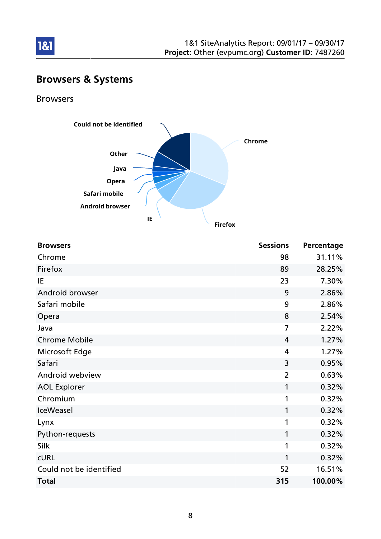

## Browsers & Systems

### Browsers



| <b>Browsers</b>         | <b>Sessions</b> | Percentage |
|-------------------------|-----------------|------------|
| Chrome                  | 98              | 31.11%     |
| Firefox                 | 89              | 28.25%     |
| IE                      | 23              | 7.30%      |
| Android browser         | 9               | 2.86%      |
| Safari mobile           | 9               | 2.86%      |
| Opera                   | 8               | 2.54%      |
| Java                    | $\overline{7}$  | 2.22%      |
| <b>Chrome Mobile</b>    | 4               | 1.27%      |
| Microsoft Edge          | 4               | 1.27%      |
| Safari                  | 3               | 0.95%      |
| Android webview         | $\overline{2}$  | 0.63%      |
| <b>AOL Explorer</b>     | 1               | 0.32%      |
| Chromium                | 1               | 0.32%      |
| <b>IceWeasel</b>        | 1               | 0.32%      |
| Lynx                    | 1               | 0.32%      |
| Python-requests         | 1               | 0.32%      |
| Silk                    | 1               | 0.32%      |
| <b>CURL</b>             | 1               | 0.32%      |
| Could not be identified | 52              | 16.51%     |
| <b>Total</b>            | 315             | 100.00%    |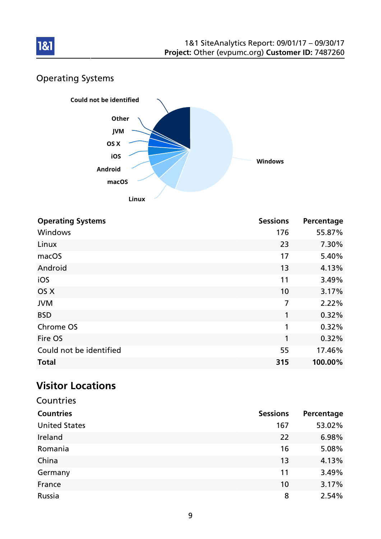

## Operating Systems



| <b>Operating Systems</b> | <b>Sessions</b> | Percentage |
|--------------------------|-----------------|------------|
| Windows                  | 176             | 55.87%     |
| Linux                    | 23              | 7.30%      |
| macOS                    | 17              | 5.40%      |
| Android                  | 13              | 4.13%      |
| iOS                      | 11              | 3.49%      |
| OS X                     | 10              | 3.17%      |
| <b>JVM</b>               | 7               | 2.22%      |
| <b>BSD</b>               | 1               | 0.32%      |
| Chrome OS                | 1               | 0.32%      |
| Fire OS                  | 1               | 0.32%      |
| Could not be identified  | 55              | 17.46%     |
| <b>Total</b>             | 315             | 100.00%    |

## Visitor Locations

| Countries            |                 |            |
|----------------------|-----------------|------------|
| <b>Countries</b>     | <b>Sessions</b> | Percentage |
| <b>United States</b> | 167             | 53.02%     |
| Ireland              | 22              | 6.98%      |
| Romania              | 16              | 5.08%      |
| China                | 13              | 4.13%      |
| Germany              | 11              | 3.49%      |
| France               | 10              | 3.17%      |
| Russia               | 8               | 2.54%      |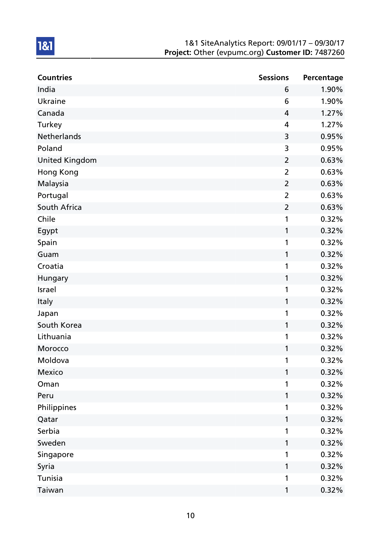| <b>Countries</b>      | <b>Sessions</b> | Percentage |
|-----------------------|-----------------|------------|
| India                 | 6               | 1.90%      |
| <b>Ukraine</b>        | 6               | 1.90%      |
| Canada                | 4               | 1.27%      |
| Turkey                | 4               | 1.27%      |
| Netherlands           | 3               | 0.95%      |
| Poland                | 3               | 0.95%      |
| <b>United Kingdom</b> | $\overline{2}$  | 0.63%      |
| Hong Kong             | $\overline{2}$  | 0.63%      |
| Malaysia              | $\overline{2}$  | 0.63%      |
| Portugal              | $\overline{2}$  | 0.63%      |
| South Africa          | $\overline{2}$  | 0.63%      |
| Chile                 | 1               | 0.32%      |
| Egypt                 | 1               | 0.32%      |
| Spain                 | 1               | 0.32%      |
| Guam                  | 1               | 0.32%      |
| Croatia               | 1               | 0.32%      |
| Hungary               | 1               | 0.32%      |
| Israel                | 1               | 0.32%      |
| Italy                 | 1               | 0.32%      |
| Japan                 | 1               | 0.32%      |
| South Korea           | 1               | 0.32%      |
| Lithuania             | 1               | 0.32%      |
| Morocco               | 1               | 0.32%      |
| Moldova               | 1               | 0.32%      |
| Mexico                | 1               | 0.32%      |
| Oman                  | 1               | 0.32%      |
| Peru                  | 1               | 0.32%      |
| Philippines           | 1               | 0.32%      |
| Qatar                 | 1               | 0.32%      |
| Serbia                | 1               | 0.32%      |
| Sweden                | 1               | 0.32%      |
| Singapore             | 1               | 0.32%      |
| Syria                 | 1               | 0.32%      |
| Tunisia               | 1               | 0.32%      |
| Taiwan                | 1               | 0.32%      |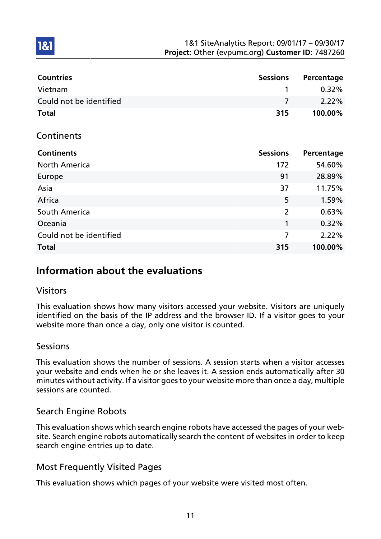| <b>Countries</b>        | <b>Sessions</b> | Percentage |
|-------------------------|-----------------|------------|
| Vietnam                 | 1               | 0.32%      |
| Could not be identified | 7               | 2.22%      |
| <b>Total</b>            | 315             | 100.00%    |
| Continents              |                 |            |
| <b>Continents</b>       | <b>Sessions</b> | Percentage |
| <b>North America</b>    | 172             | 54.60%     |
| Europe                  | 91              | 28.89%     |
| Asia                    | 37              | 11.75%     |
| Africa                  | 5               | 1.59%      |
| South America           | $\overline{2}$  | 0.63%      |
| Oceania                 | 1               | 0.32%      |
| Could not be identified | 7               | 2.22%      |
| <b>Total</b>            | 315             | 100.00%    |

## Information about the evaluations

### Visitors

1&1

This evaluation shows how many visitors accessed your website. Visitors are uniquely identified on the basis of the IP address and the browser ID. If a visitor goes to your website more than once a day, only one visitor is counted.

### **Sessions**

This evaluation shows the number of sessions. A session starts when a visitor accesses your website and ends when he or she leaves it. A session ends automatically after 30 minutes without activity. If a visitor goes to your website more than once a day, multiple sessions are counted.

## Search Engine Robots

This evaluation shows which search engine robots have accessed the pages of your website. Search engine robots automatically search the content of websites in order to keep search engine entries up to date.

## Most Frequently Visited Pages

This evaluation shows which pages of your website were visited most often.